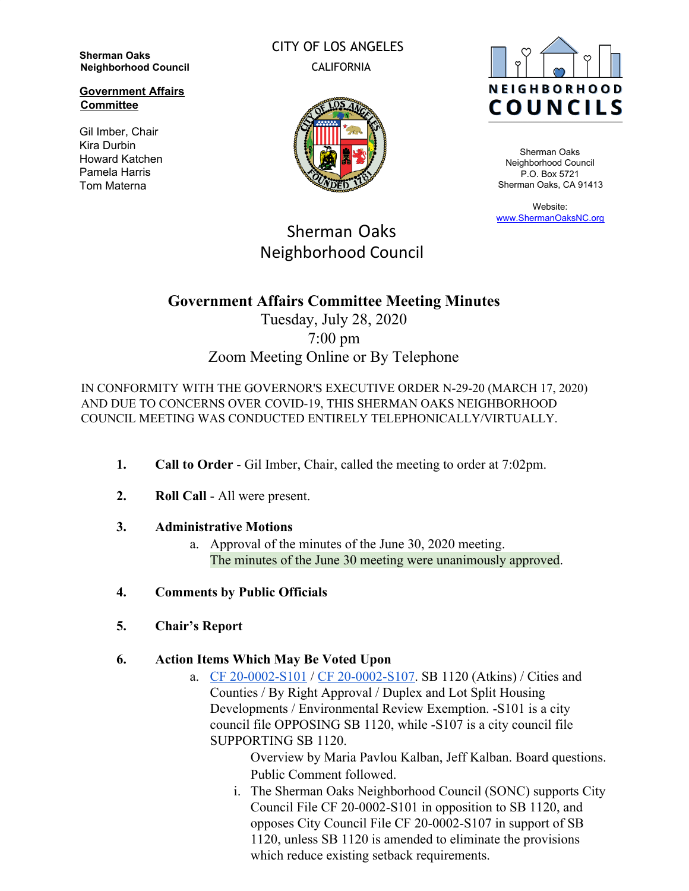**Sherman Oaks Neighborhood Council**

**Government Affairs Committee**

Gil Imber, Chair Kira Durbin Howard Katchen Pamela Harris Tom Materna

CITY OF LOS ANGELES CALIFORNIA





Sherman Oaks Neighborhood Council P.O. Box 5721 Sherman Oaks, CA 91413

Website: [www.ShermanOaksNC.org](http://www.shermanoaksnc.org/)

# Sherman Oaks Neighborhood Council

### **Government Affairs Committee Meeting Minutes**

## Tuesday, July 28, 2020 7:00 pm Zoom Meeting Online or By Telephone

IN CONFORMITY WITH THE GOVERNOR'S EXECUTIVE ORDER N-29-20 (MARCH 17, 2020) AND DUE TO CONCERNS OVER COVID-19, THIS SHERMAN OAKS NEIGHBORHOOD COUNCIL MEETING WAS CONDUCTED ENTIRELY TELEPHONICALLY/VIRTUALLY.

- **1. Call to Order** Gil Imber, Chair, called the meeting to order at 7:02pm.
- **2. Roll Call** All were present.
- **3. Administrative Motions**
	- a. Approval of the minutes of the June 30, 2020 meeting. The minutes of the June 30 meeting were unanimously approved.
- **4. Comments by Public Officials**
- **5. Chair's Report**
- **6. Action Items Which May Be Voted Upon**
	- a. [CF 20-0002-S101](https://cityclerk.lacity.org/lacityclerkconnect/index.cfm?fa=ccfi.viewrecord&cfnumber=20-0002-S101) / [CF 20-0002-S107.](https://cityclerk.lacity.org/lacityclerkconnect/index.cfm?fa=ccfi.viewrecord&cfnumber=20-0002-S107) SB 1120 (Atkins) / Cities and Counties / By Right Approval / Duplex and Lot Split Housing Developments / Environmental Review Exemption. -S101 is a city council file OPPOSING SB 1120, while -S107 is a city council file SUPPORTING SB 1120.

Overview by Maria Pavlou Kalban, Jeff Kalban. Board questions. Public Comment followed.

i. The Sherman Oaks Neighborhood Council (SONC) supports City Council File CF 20-0002-S101 in opposition to SB 1120, and opposes City Council File CF 20-0002-S107 in support of SB 1120, unless SB 1120 is amended to eliminate the provisions which reduce existing setback requirements.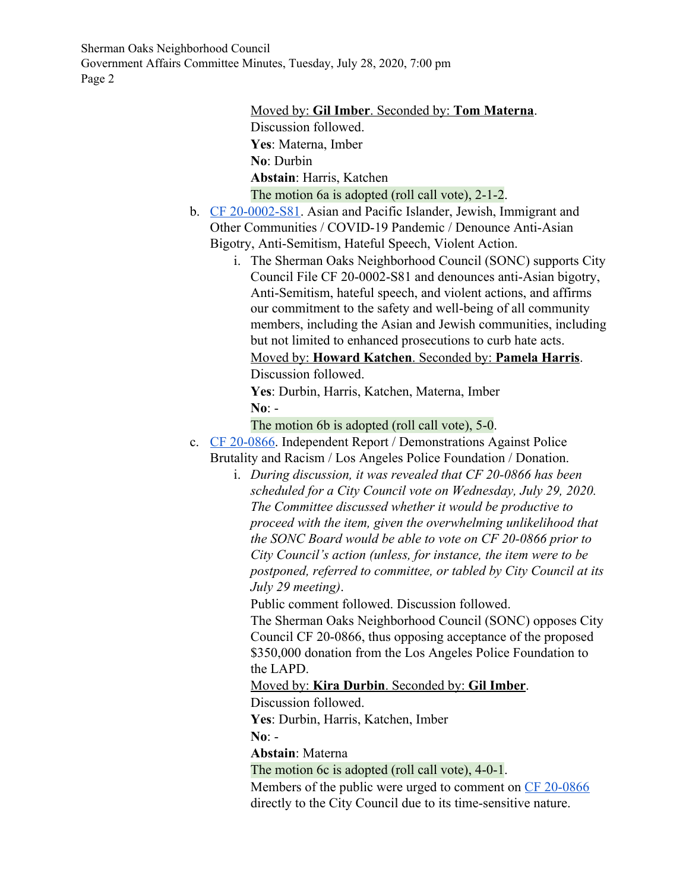Sherman Oaks Neighborhood Council Government Affairs Committee Minutes, Tuesday, July 28, 2020, 7:00 pm Page 2

> Moved by: **Gil Imber**. Seconded by: **Tom Materna**. Discussion followed. **Yes**: Materna, Imber **No**: Durbin **Abstain**: Harris, Katchen The motion 6a is adopted (roll call vote), 2-1-2.

- b. [CF 20-0002-S81](https://cityclerk.lacity.org/lacityclerkconnect/index.cfm?fa=ccfi.viewrecord&cfnumber=20-0002-S81). Asian and Pacific Islander, Jewish, Immigrant and Other Communities / COVID-19 Pandemic / Denounce Anti-Asian Bigotry, Anti-Semitism, Hateful Speech, Violent Action.
	- i. The Sherman Oaks Neighborhood Council (SONC) supports City Council File CF 20-0002-S81 and denounces anti-Asian bigotry, Anti-Semitism, hateful speech, and violent actions, and affirms our commitment to the safety and well-being of all community members, including the Asian and Jewish communities, including but not limited to enhanced prosecutions to curb hate acts. Moved by: **Howard Katchen**. Seconded by: **Pamela Harris**. Discussion followed.

**Yes**: Durbin, Harris, Katchen, Materna, Imber **No**: -

```
The motion 6b is adopted (roll call vote), 5-0.
```
- c. [CF 20-0866](https://cityclerk.lacity.org/lacityclerkconnect/index.cfm?fa=ccfi.viewrecord&cfnumber=20-0866). Independent Report / Demonstrations Against Police Brutality and Racism / Los Angeles Police Foundation / Donation.
	- i. *During discussion, it was revealed that CF 20-0866 has been scheduled for a City Council vote on Wednesday, July 29, 2020. The Committee discussed whether it would be productive to proceed with the item, given the overwhelming unlikelihood that the SONC Board would be able to vote on CF 20-0866 prior to City Council's action (unless, for instance, the item were to be postponed, referred to committee, or tabled by City Council at its July 29 meeting)*.

Public comment followed. Discussion followed.

The Sherman Oaks Neighborhood Council (SONC) opposes City Council CF 20-0866, thus opposing acceptance of the proposed \$350,000 donation from the Los Angeles Police Foundation to the LAPD.

Moved by: **Kira Durbin**. Seconded by: **Gil Imber**.

Discussion followed.

**Yes**: Durbin, Harris, Katchen, Imber

**No**: -

**Abstain**: Materna

The motion 6c is adopted (roll call vote), 4-0-1.

Members of the public were urged to comment on [CF 20-0866](https://cityclerk.lacity.org/lacityclerkconnect/index.cfm?fa=ccfi.viewrecord&cfnumber=20-0866) directly to the City Council due to its time-sensitive nature.